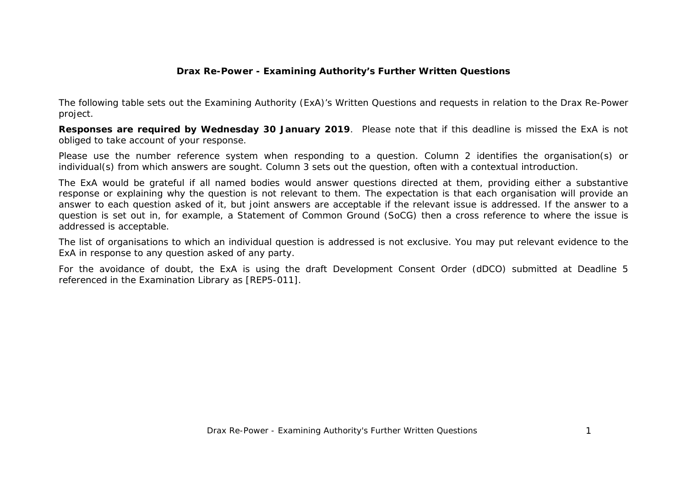## **Drax Re-Power - Examining Authority's Further Written Questions**

The following table sets out the Examining Authority (ExA)'s Written Questions and requests in relation to the Drax Re-Power project.

**Responses are required by Wednesday 30 January 2019**. Please note that if this deadline is missed the ExA is not obliged to take account of your response.

Please use the number reference system when responding to a question. Column 2 identifies the organisation(s) or individual(s) from which answers are sought. Column 3 sets out the question, often with a contextual introduction.

The ExA would be grateful if all named bodies would answer questions directed at them, providing either a substantive response or explaining why the question is not relevant to them. The expectation is that each organisation will provide an answer to each question asked of it, but joint answers are acceptable if the relevant issue is addressed. If the answer to a question is set out in, for example, a Statement of Common Ground (SoCG) then a cross reference to where the issue is addressed is acceptable.

The list of organisations to which an individual question is addressed is not exclusive. You may put relevant evidence to the ExA in response to any question asked of any party.

For the avoidance of doubt, the ExA is using the draft Development Consent Order (dDCO) submitted at Deadline 5 referenced in the Examination Library as [REP5-011].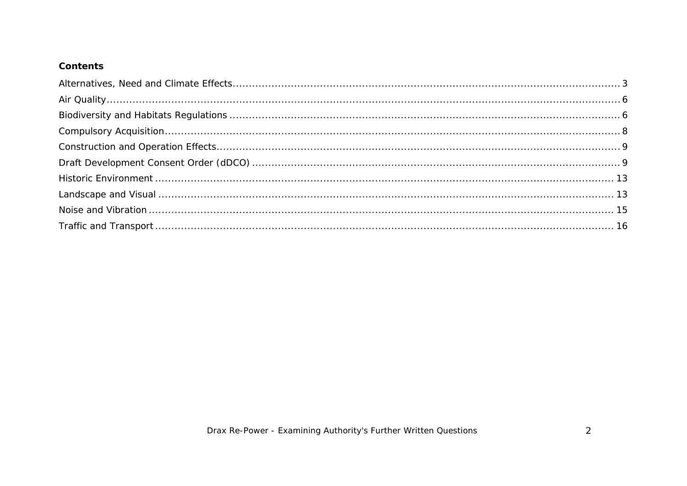## **Contents**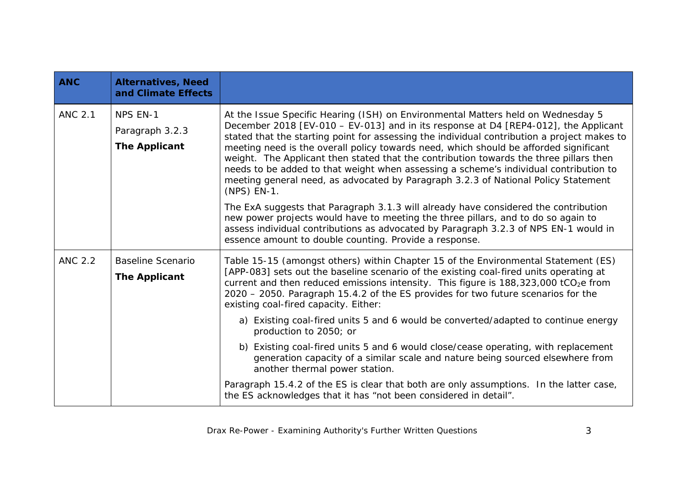<span id="page-2-0"></span>

| <b>ANC</b>     | <b>Alternatives, Need</b><br>and Climate Effects           |                                                                                                                                                                                                                                                                                                                                                                                                                                                                                                                                                                                                                                                         |
|----------------|------------------------------------------------------------|---------------------------------------------------------------------------------------------------------------------------------------------------------------------------------------------------------------------------------------------------------------------------------------------------------------------------------------------------------------------------------------------------------------------------------------------------------------------------------------------------------------------------------------------------------------------------------------------------------------------------------------------------------|
| <b>ANC 2.1</b> | <b>NPS EN-1</b><br>Paragraph 3.2.3<br><b>The Applicant</b> | At the Issue Specific Hearing (ISH) on Environmental Matters held on Wednesday 5<br>December 2018 [EV-010 - EV-013] and in its response at D4 [REP4-012], the Applicant<br>stated that the starting point for assessing the individual contribution a project makes to<br>meeting need is the overall policy towards need, which should be afforded significant<br>weight. The Applicant then stated that the contribution towards the three pillars then<br>needs to be added to that weight when assessing a scheme's individual contribution to<br>meeting general need, as advocated by Paragraph 3.2.3 of National Policy Statement<br>(NPS) EN-1. |
|                |                                                            | The ExA suggests that Paragraph 3.1.3 will already have considered the contribution<br>new power projects would have to meeting the three pillars, and to do so again to<br>assess individual contributions as advocated by Paragraph 3.2.3 of NPS EN-1 would in<br>essence amount to double counting. Provide a response.                                                                                                                                                                                                                                                                                                                              |
| <b>ANC 2.2</b> | <b>Baseline Scenario</b><br><b>The Applicant</b>           | Table 15-15 (amongst others) within Chapter 15 of the Environmental Statement (ES)<br>[APP-083] sets out the baseline scenario of the existing coal-fired units operating at<br>current and then reduced emissions intensity. This figure is $188,323,000$ tCO <sub>2</sub> e from<br>2020 - 2050. Paragraph 15.4.2 of the ES provides for two future scenarios for the<br>existing coal-fired capacity. Either:                                                                                                                                                                                                                                        |
|                |                                                            | a) Existing coal-fired units 5 and 6 would be converted/adapted to continue energy<br>production to 2050; or                                                                                                                                                                                                                                                                                                                                                                                                                                                                                                                                            |
|                |                                                            | b) Existing coal-fired units 5 and 6 would close/cease operating, with replacement<br>generation capacity of a similar scale and nature being sourced elsewhere from<br>another thermal power station.                                                                                                                                                                                                                                                                                                                                                                                                                                                  |
|                |                                                            | Paragraph 15.4.2 of the ES is clear that both are only assumptions. In the latter case,<br>the ES acknowledges that it has "not been considered in detail".                                                                                                                                                                                                                                                                                                                                                                                                                                                                                             |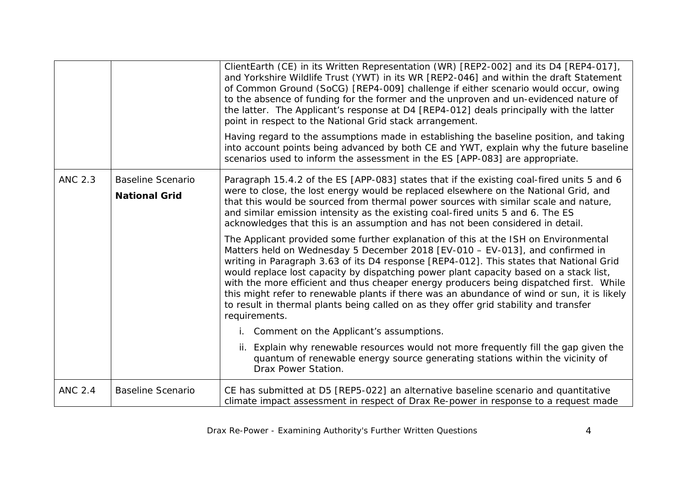|                |                                                  | ClientEarth (CE) in its Written Representation (WR) [REP2-002] and its D4 [REP4-017],<br>and Yorkshire Wildlife Trust (YWT) in its WR [REP2-046] and within the draft Statement<br>of Common Ground (SoCG) [REP4-009] challenge if either scenario would occur, owing<br>to the absence of funding for the former and the unproven and un-evidenced nature of<br>the latter. The Applicant's response at D4 [REP4-012] deals principally with the latter<br>point in respect to the National Grid stack arrangement.<br>Having regard to the assumptions made in establishing the baseline position, and taking<br>into account points being advanced by both CE and YWT, explain why the future baseline<br>scenarios used to inform the assessment in the ES [APP-083] are appropriate. |
|----------------|--------------------------------------------------|-------------------------------------------------------------------------------------------------------------------------------------------------------------------------------------------------------------------------------------------------------------------------------------------------------------------------------------------------------------------------------------------------------------------------------------------------------------------------------------------------------------------------------------------------------------------------------------------------------------------------------------------------------------------------------------------------------------------------------------------------------------------------------------------|
| <b>ANC 2.3</b> | <b>Baseline Scenario</b><br><b>National Grid</b> | Paragraph 15.4.2 of the ES [APP-083] states that if the existing coal-fired units 5 and 6<br>were to close, the lost energy would be replaced elsewhere on the National Grid, and<br>that this would be sourced from thermal power sources with similar scale and nature,<br>and similar emission intensity as the existing coal-fired units 5 and 6. The ES<br>acknowledges that this is an assumption and has not been considered in detail.                                                                                                                                                                                                                                                                                                                                            |
|                |                                                  | The Applicant provided some further explanation of this at the ISH on Environmental<br>Matters held on Wednesday 5 December 2018 [EV-010 - EV-013], and confirmed in<br>writing in Paragraph 3.63 of its D4 response [REP4-012]. This states that National Grid<br>would replace lost capacity by dispatching power plant capacity based on a stack list,<br>with the more efficient and thus cheaper energy producers being dispatched first. While<br>this might refer to renewable plants if there was an abundance of wind or sun, it is likely<br>to result in thermal plants being called on as they offer grid stability and transfer<br>requirements.                                                                                                                             |
|                |                                                  | i. Comment on the Applicant's assumptions.                                                                                                                                                                                                                                                                                                                                                                                                                                                                                                                                                                                                                                                                                                                                                |
|                |                                                  | ii. Explain why renewable resources would not more frequently fill the gap given the<br>quantum of renewable energy source generating stations within the vicinity of<br>Drax Power Station.                                                                                                                                                                                                                                                                                                                                                                                                                                                                                                                                                                                              |
| <b>ANC 2.4</b> | <b>Baseline Scenario</b>                         | CE has submitted at D5 [REP5-022] an alternative baseline scenario and quantitative<br>climate impact assessment in respect of Drax Re-power in response to a request made                                                                                                                                                                                                                                                                                                                                                                                                                                                                                                                                                                                                                |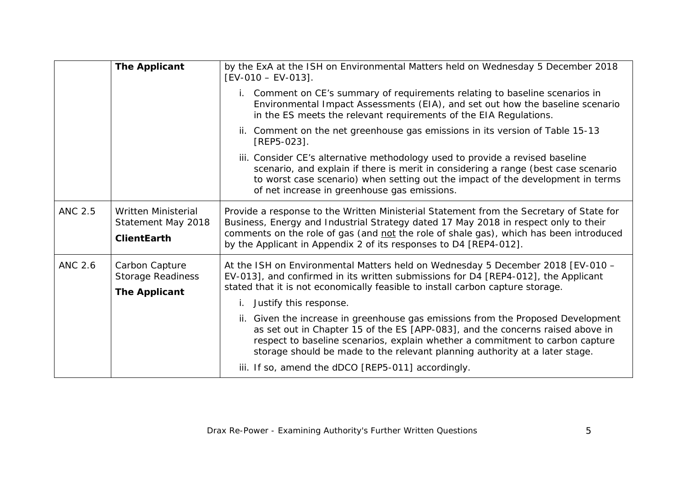|                | <b>The Applicant</b>                                                   | by the ExA at the ISH on Environmental Matters held on Wednesday 5 December 2018<br>$[EV-010 - EV-013]$ .                                                                                                                                                                                                                                     |
|----------------|------------------------------------------------------------------------|-----------------------------------------------------------------------------------------------------------------------------------------------------------------------------------------------------------------------------------------------------------------------------------------------------------------------------------------------|
|                |                                                                        | i. Comment on CE's summary of requirements relating to baseline scenarios in<br>Environmental Impact Assessments (EIA), and set out how the baseline scenario<br>in the ES meets the relevant requirements of the EIA Regulations.                                                                                                            |
|                |                                                                        | ii. Comment on the net greenhouse gas emissions in its version of Table 15-13<br>[REP5-023].                                                                                                                                                                                                                                                  |
|                |                                                                        | iii. Consider CE's alternative methodology used to provide a revised baseline<br>scenario, and explain if there is merit in considering a range (best case scenario<br>to worst case scenario) when setting out the impact of the development in terms<br>of net increase in greenhouse gas emissions.                                        |
| <b>ANC 2.5</b> | <b>Written Ministerial</b><br>Statement May 2018<br><b>ClientEarth</b> | Provide a response to the Written Ministerial Statement from the Secretary of State for<br>Business, Energy and Industrial Strategy dated 17 May 2018 in respect only to their<br>comments on the role of gas (and not the role of shale gas), which has been introduced<br>by the Applicant in Appendix 2 of its responses to D4 [REP4-012]. |
| <b>ANC 2.6</b> | Carbon Capture<br><b>Storage Readiness</b><br><b>The Applicant</b>     | At the ISH on Environmental Matters held on Wednesday 5 December 2018 [EV-010 -<br>EV-013], and confirmed in its written submissions for D4 [REP4-012], the Applicant<br>stated that it is not economically feasible to install carbon capture storage.                                                                                       |
|                |                                                                        | Justify this response.                                                                                                                                                                                                                                                                                                                        |
|                |                                                                        | ii. Given the increase in greenhouse gas emissions from the Proposed Development<br>as set out in Chapter 15 of the ES [APP-083], and the concerns raised above in<br>respect to baseline scenarios, explain whether a commitment to carbon capture<br>storage should be made to the relevant planning authority at a later stage.            |
|                |                                                                        | iii. If so, amend the dDCO [REP5-011] accordingly.                                                                                                                                                                                                                                                                                            |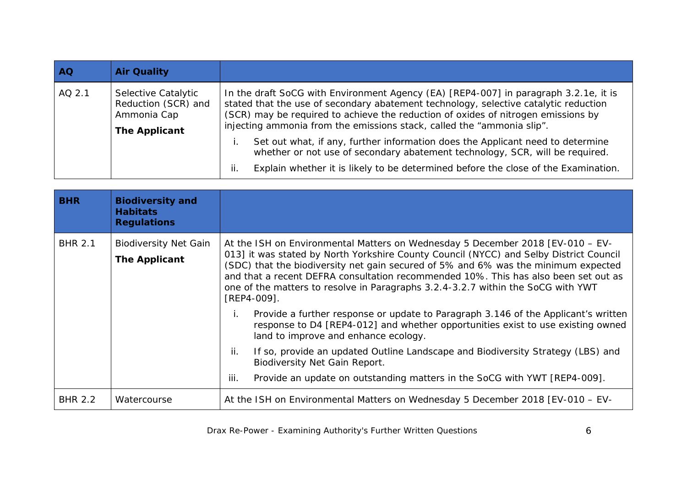<span id="page-5-0"></span>

| <b>AQ</b> | <b>Air Quality</b>                                                         |                                                                                                                                                                                                                                                                                                                                             |
|-----------|----------------------------------------------------------------------------|---------------------------------------------------------------------------------------------------------------------------------------------------------------------------------------------------------------------------------------------------------------------------------------------------------------------------------------------|
| AQ 2.1    | Selective Catalytic<br>Reduction (SCR) and<br>Ammonia Cap<br>The Applicant | In the draft SoCG with Environment Agency (EA) [REP4-007] in paragraph 3.2.1e, it is<br>stated that the use of secondary abatement technology, selective catalytic reduction<br>(SCR) may be required to achieve the reduction of oxides of nitrogen emissions by<br>injecting ammonia from the emissions stack, called the "ammonia slip". |
|           |                                                                            | Set out what, if any, further information does the Applicant need to determine<br>whether or not use of secondary abatement technology, SCR, will be required.<br>Explain whether it is likely to be determined before the close of the Examination.<br>Ιİ.                                                                                 |

<span id="page-5-1"></span>

| <b>BHR</b>     | <b>Biodiversity and</b><br><b>Habitats</b><br><b>Regulations</b> |                                                                                                                                                                                                                                                                                                                                                                                                                                                                                                                                                                                                                                                                                                                                                                                                                                                                                                        |
|----------------|------------------------------------------------------------------|--------------------------------------------------------------------------------------------------------------------------------------------------------------------------------------------------------------------------------------------------------------------------------------------------------------------------------------------------------------------------------------------------------------------------------------------------------------------------------------------------------------------------------------------------------------------------------------------------------------------------------------------------------------------------------------------------------------------------------------------------------------------------------------------------------------------------------------------------------------------------------------------------------|
| <b>BHR 2.1</b> | <b>Biodiversity Net Gain</b><br><b>The Applicant</b>             | At the ISH on Environmental Matters on Wednesday 5 December 2018 [EV-010 – EV-<br>013] it was stated by North Yorkshire County Council (NYCC) and Selby District Council<br>(SDC) that the biodiversity net gain secured of 5% and 6% was the minimum expected<br>and that a recent DEFRA consultation recommended 10%. This has also been set out as<br>one of the matters to resolve in Paragraphs 3.2.4-3.2.7 within the SoCG with YWT<br>[REP4-009].<br>Provide a further response or update to Paragraph 3.146 of the Applicant's written<br>j.<br>response to D4 [REP4-012] and whether opportunities exist to use existing owned<br>land to improve and enhance ecology.<br>If so, provide an updated Outline Landscape and Biodiversity Strategy (LBS) and<br>ii.<br><b>Biodiversity Net Gain Report.</b><br>Provide an update on outstanding matters in the SoCG with YWT [REP4-009].<br>iii. |
| <b>BHR 2.2</b> | Watercourse                                                      | At the ISH on Environmental Matters on Wednesday 5 December 2018 [EV-010 – EV-                                                                                                                                                                                                                                                                                                                                                                                                                                                                                                                                                                                                                                                                                                                                                                                                                         |

Drax Re-Power - Examining Authority's Further Written Questions 6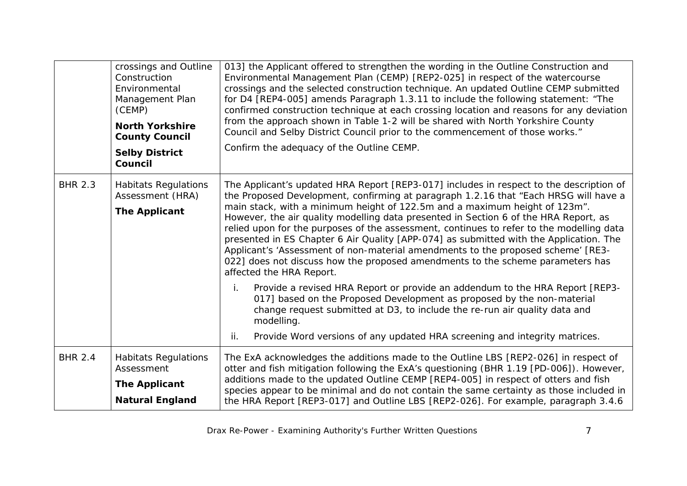|                | crossings and Outline<br>Construction<br>Environmental<br>Management Plan<br>(CEMP)<br><b>North Yorkshire</b><br><b>County Council</b><br><b>Selby District</b><br>Council | 013] the Applicant offered to strengthen the wording in the Outline Construction and<br>Environmental Management Plan (CEMP) [REP2-025] in respect of the watercourse<br>crossings and the selected construction technique. An updated Outline CEMP submitted<br>for D4 [REP4-005] amends Paragraph 1.3.11 to include the following statement: "The<br>confirmed construction technique at each crossing location and reasons for any deviation<br>from the approach shown in Table 1-2 will be shared with North Yorkshire County<br>Council and Selby District Council prior to the commencement of those works."<br>Confirm the adequacy of the Outline CEMP.                                                                              |
|----------------|----------------------------------------------------------------------------------------------------------------------------------------------------------------------------|-----------------------------------------------------------------------------------------------------------------------------------------------------------------------------------------------------------------------------------------------------------------------------------------------------------------------------------------------------------------------------------------------------------------------------------------------------------------------------------------------------------------------------------------------------------------------------------------------------------------------------------------------------------------------------------------------------------------------------------------------|
| <b>BHR 2.3</b> | <b>Habitats Regulations</b><br>Assessment (HRA)<br><b>The Applicant</b>                                                                                                    | The Applicant's updated HRA Report [REP3-017] includes in respect to the description of<br>the Proposed Development, confirming at paragraph 1.2.16 that "Each HRSG will have a<br>main stack, with a minimum height of 122.5m and a maximum height of 123m".<br>However, the air quality modelling data presented in Section 6 of the HRA Report, as<br>relied upon for the purposes of the assessment, continues to refer to the modelling data<br>presented in ES Chapter 6 Air Quality [APP-074] as submitted with the Application. The<br>Applicant's 'Assessment of non-material amendments to the proposed scheme' [RE3-<br>022] does not discuss how the proposed amendments to the scheme parameters has<br>affected the HRA Report. |
|                |                                                                                                                                                                            | Provide a revised HRA Report or provide an addendum to the HRA Report [REP3-<br>i.<br>017] based on the Proposed Development as proposed by the non-material<br>change request submitted at D3, to include the re-run air quality data and<br>modelling.<br>Provide Word versions of any updated HRA screening and integrity matrices.<br>ii.                                                                                                                                                                                                                                                                                                                                                                                                 |
| <b>BHR 2.4</b> | <b>Habitats Regulations</b><br>Assessment<br><b>The Applicant</b><br><b>Natural England</b>                                                                                | The ExA acknowledges the additions made to the Outline LBS [REP2-026] in respect of<br>otter and fish mitigation following the ExA's questioning (BHR 1.19 [PD-006]). However,<br>additions made to the updated Outline CEMP [REP4-005] in respect of otters and fish<br>species appear to be minimal and do not contain the same certainty as those included in<br>the HRA Report [REP3-017] and Outline LBS [REP2-026]. For example, paragraph 3.4.6                                                                                                                                                                                                                                                                                        |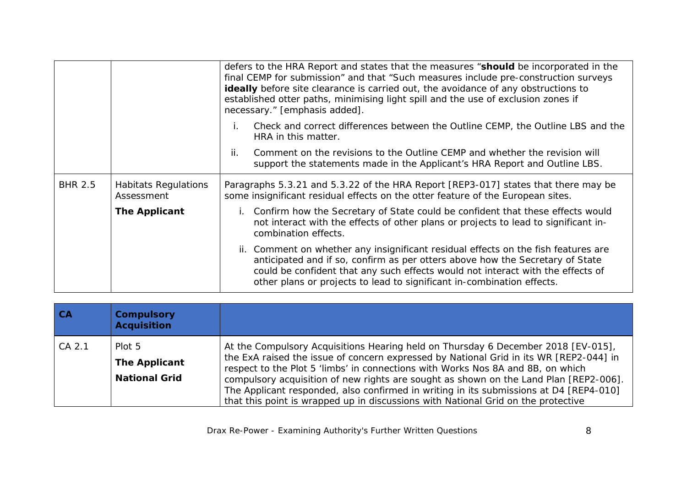|                |                                           | defers to the HRA Report and states that the measures "should be incorporated in the<br>final CEMP for submission" and that "Such measures include pre-construction surveys<br>ideally before site clearance is carried out, the avoidance of any obstructions to<br>established otter paths, minimising light spill and the use of exclusion zones if<br>necessary." [emphasis added]. |
|----------------|-------------------------------------------|-----------------------------------------------------------------------------------------------------------------------------------------------------------------------------------------------------------------------------------------------------------------------------------------------------------------------------------------------------------------------------------------|
|                |                                           | Check and correct differences between the Outline CEMP, the Outline LBS and the<br>$\mathbf{L}$<br>HRA in this matter.                                                                                                                                                                                                                                                                  |
|                |                                           | Comment on the revisions to the Outline CEMP and whether the revision will<br>ii.<br>support the statements made in the Applicant's HRA Report and Outline LBS.                                                                                                                                                                                                                         |
| <b>BHR 2.5</b> | <b>Habitats Regulations</b><br>Assessment | Paragraphs 5.3.21 and 5.3.22 of the HRA Report [REP3-017] states that there may be<br>some insignificant residual effects on the otter feature of the European sites.                                                                                                                                                                                                                   |
|                | The Applicant                             | Confirm how the Secretary of State could be confident that these effects would<br>not interact with the effects of other plans or projects to lead to significant in-<br>combination effects.                                                                                                                                                                                           |
|                |                                           | ii. Comment on whether any insignificant residual effects on the fish features are<br>anticipated and if so, confirm as per otters above how the Secretary of State<br>could be confident that any such effects would not interact with the effects of<br>other plans or projects to lead to significant in-combination effects.                                                        |

<span id="page-7-0"></span>

| CA     | <b>Compulsory</b><br><b>Acquisition</b>            |                                                                                                                                                                                                                                                                                                                                                                                                                                                                                                                                        |
|--------|----------------------------------------------------|----------------------------------------------------------------------------------------------------------------------------------------------------------------------------------------------------------------------------------------------------------------------------------------------------------------------------------------------------------------------------------------------------------------------------------------------------------------------------------------------------------------------------------------|
| CA 2.1 | $Plot\ 5$<br>The Applicant<br><b>National Grid</b> | At the Compulsory Acquisitions Hearing held on Thursday 6 December 2018 [EV-015],<br>the ExA raised the issue of concern expressed by National Grid in its WR [REP2-044] in<br>respect to the Plot 5 'limbs' in connections with Works Nos 8A and 8B, on which<br>compulsory acquisition of new rights are sought as shown on the Land Plan [REP2-006].<br>The Applicant responded, also confirmed in writing in its submissions at D4 [REP4-010]<br>that this point is wrapped up in discussions with National Grid on the protective |

Drax Re-Power - Examining Authority's Further Written Questions **8** 8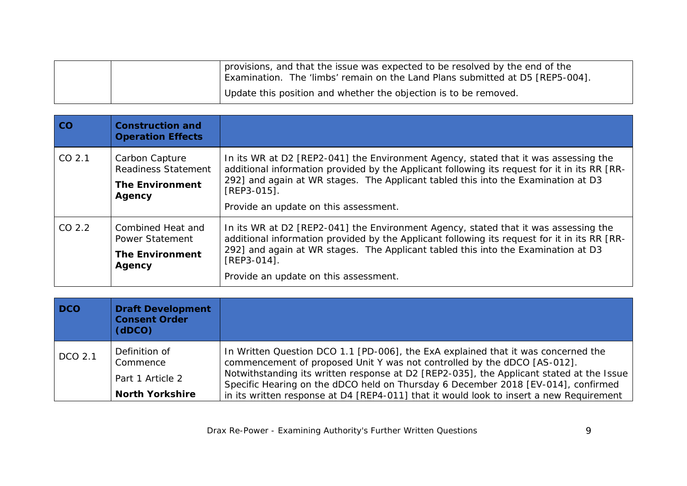|  | provisions, and that the issue was expected to be resolved by the end of the<br>Examination. The 'limbs' remain on the Land Plans submitted at D5 [REP5-004]. |
|--|---------------------------------------------------------------------------------------------------------------------------------------------------------------|
|  | Update this position and whether the objection is to be removed.                                                                                              |

<span id="page-8-0"></span>

| CO                | <b>Construction and</b><br><b>Operation Effects</b>                              |                                                                                                                                                                                                                                                                                                                                  |
|-------------------|----------------------------------------------------------------------------------|----------------------------------------------------------------------------------------------------------------------------------------------------------------------------------------------------------------------------------------------------------------------------------------------------------------------------------|
| CO 2.1            | Carbon Capture<br><b>Readiness Statement</b><br><b>The Environment</b><br>Agency | In its WR at D2 [REP2-041] the Environment Agency, stated that it was assessing the<br>additional information provided by the Applicant following its request for it in its RR [RR-<br>292] and again at WR stages. The Applicant tabled this into the Examination at D3<br>[REP3-015].<br>Provide an update on this assessment. |
| CO <sub>2.2</sub> | Combined Heat and<br><b>Power Statement</b><br><b>The Environment</b><br>Agency  | In its WR at D2 [REP2-041] the Environment Agency, stated that it was assessing the<br>additional information provided by the Applicant following its request for it in its RR [RR-<br>292] and again at WR stages. The Applicant tabled this into the Examination at D3<br>[REP3-014].<br>Provide an update on this assessment. |

<span id="page-8-1"></span>

| <b>DCO</b> | <b>Draft Development</b><br><b>Consent Order</b><br>(dDCO) |                                                                                                                                                                                                                                                                                                                                                |
|------------|------------------------------------------------------------|------------------------------------------------------------------------------------------------------------------------------------------------------------------------------------------------------------------------------------------------------------------------------------------------------------------------------------------------|
| DCO 2.1    | Definition of<br>Commence<br>Part 1 Article 2              | In Written Question DCO 1.1 [PD-006], the ExA explained that it was concerned the<br>commencement of proposed Unit Y was not controlled by the dDCO [AS-012].<br>Notwithstanding its written response at D2 [REP2-035], the Applicant stated at the Issue<br>Specific Hearing on the dDCO held on Thursday 6 December 2018 [EV-014], confirmed |
|            | <b>North Yorkshire</b>                                     | in its written response at D4 [REP4-011] that it would look to insert a new Requirement                                                                                                                                                                                                                                                        |

Drax Re-Power - Examining Authority's Further Written Questions **9**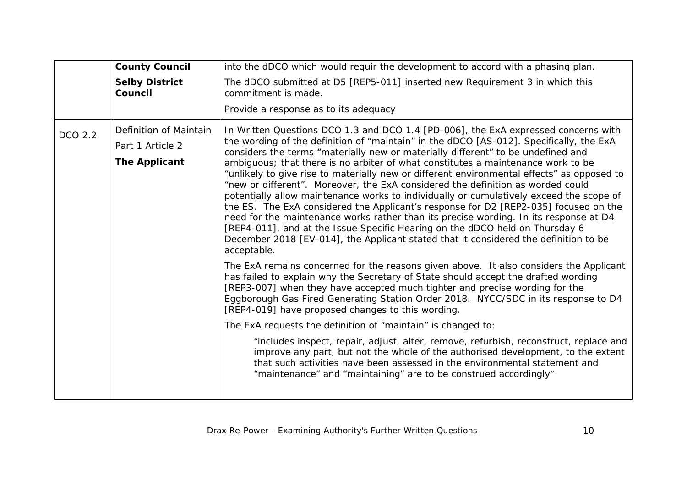|         | <b>County Council</b>            | into the dDCO which would requir the development to accord with a phasing plan.                                                                                                                                                                                                                                                                                                                                                                                                                                                                                                                                                                                                                                                                                                                                                                                                                                     |  |
|---------|----------------------------------|---------------------------------------------------------------------------------------------------------------------------------------------------------------------------------------------------------------------------------------------------------------------------------------------------------------------------------------------------------------------------------------------------------------------------------------------------------------------------------------------------------------------------------------------------------------------------------------------------------------------------------------------------------------------------------------------------------------------------------------------------------------------------------------------------------------------------------------------------------------------------------------------------------------------|--|
|         | <b>Selby District</b><br>Council | The dDCO submitted at D5 [REP5-011] inserted new Requirement 3 in which this<br>commitment is made.                                                                                                                                                                                                                                                                                                                                                                                                                                                                                                                                                                                                                                                                                                                                                                                                                 |  |
|         |                                  | Provide a response as to its adequacy                                                                                                                                                                                                                                                                                                                                                                                                                                                                                                                                                                                                                                                                                                                                                                                                                                                                               |  |
| DCO 2.2 | Definition of Maintain           | In Written Questions DCO 1.3 and DCO 1.4 [PD-006], the ExA expressed concerns with                                                                                                                                                                                                                                                                                                                                                                                                                                                                                                                                                                                                                                                                                                                                                                                                                                  |  |
|         | Part 1 Article 2                 | the wording of the definition of "maintain" in the dDCO [AS-012]. Specifically, the ExA<br>considers the terms "materially new or materially different" to be undefined and<br>ambiguous; that there is no arbiter of what constitutes a maintenance work to be<br>"unlikely to give rise to materially new or different environmental effects" as opposed to<br>"new or different". Moreover, the ExA considered the definition as worded could<br>potentially allow maintenance works to individually or cumulatively exceed the scope of<br>the ES. The ExA considered the Applicant's response for D2 [REP2-035] focused on the<br>need for the maintenance works rather than its precise wording. In its response at D4<br>[REP4-011], and at the Issue Specific Hearing on the dDCO held on Thursday 6<br>December 2018 [EV-014], the Applicant stated that it considered the definition to be<br>acceptable. |  |
|         | <b>The Applicant</b>             |                                                                                                                                                                                                                                                                                                                                                                                                                                                                                                                                                                                                                                                                                                                                                                                                                                                                                                                     |  |
|         |                                  | The ExA remains concerned for the reasons given above. It also considers the Applicant<br>has failed to explain why the Secretary of State should accept the drafted wording<br>[REP3-007] when they have accepted much tighter and precise wording for the<br>Eggborough Gas Fired Generating Station Order 2018. NYCC/SDC in its response to D4<br>[REP4-019] have proposed changes to this wording.                                                                                                                                                                                                                                                                                                                                                                                                                                                                                                              |  |
|         |                                  | The ExA requests the definition of "maintain" is changed to:                                                                                                                                                                                                                                                                                                                                                                                                                                                                                                                                                                                                                                                                                                                                                                                                                                                        |  |
|         |                                  | "includes inspect, repair, adjust, alter, remove, refurbish, reconstruct, replace and<br>improve any part, but not the whole of the authorised development, to the extent<br>that such activities have been assessed in the environmental statement and<br>"maintenance" and "maintaining" are to be construed accordingly"                                                                                                                                                                                                                                                                                                                                                                                                                                                                                                                                                                                         |  |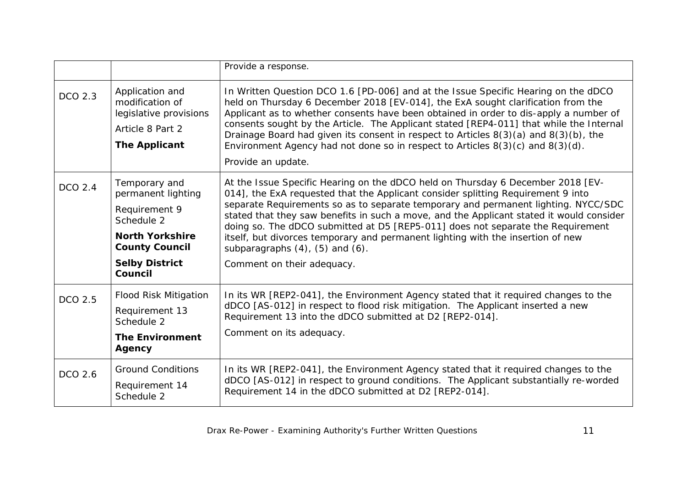|         |                                                                                                                       | Provide a response.                                                                                                                                                                                                                                                                                                                                                                                                                                                                                                                                                    |  |
|---------|-----------------------------------------------------------------------------------------------------------------------|------------------------------------------------------------------------------------------------------------------------------------------------------------------------------------------------------------------------------------------------------------------------------------------------------------------------------------------------------------------------------------------------------------------------------------------------------------------------------------------------------------------------------------------------------------------------|--|
| DCO 2.3 | Application and<br>modification of<br>legislative provisions<br>Article 8 Part 2<br><b>The Applicant</b>              | In Written Question DCO 1.6 [PD-006] and at the Issue Specific Hearing on the dDCO<br>held on Thursday 6 December 2018 [EV-014], the ExA sought clarification from the<br>Applicant as to whether consents have been obtained in order to dis-apply a number of<br>consents sought by the Article. The Applicant stated [REP4-011] that while the Internal<br>Drainage Board had given its consent in respect to Articles 8(3)(a) and 8(3)(b), the<br>Environment Agency had not done so in respect to Articles $8(3)(c)$ and $8(3)(d)$ .<br>Provide an update.        |  |
| DCO 2.4 | Temporary and<br>permanent lighting<br>Requirement 9<br>Schedule 2<br><b>North Yorkshire</b><br><b>County Council</b> | At the Issue Specific Hearing on the dDCO held on Thursday 6 December 2018 [EV-<br>014], the ExA requested that the Applicant consider splitting Requirement 9 into<br>separate Requirements so as to separate temporary and permanent lighting. NYCC/SDC<br>stated that they saw benefits in such a move, and the Applicant stated it would consider<br>doing so. The dDCO submitted at D5 [REP5-011] does not separate the Requirement<br>itself, but divorces temporary and permanent lighting with the insertion of new<br>subparagraphs $(4)$ , $(5)$ and $(6)$ . |  |
|         | <b>Selby District</b><br>Council                                                                                      | Comment on their adequacy.                                                                                                                                                                                                                                                                                                                                                                                                                                                                                                                                             |  |
| DCO 2.5 | <b>Flood Risk Mitigation</b><br>Requirement 13<br>Schedule 2<br><b>The Environment</b><br>Agency                      | In its WR [REP2-041], the Environment Agency stated that it required changes to the<br>dDCO [AS-012] in respect to flood risk mitigation. The Applicant inserted a new<br>Requirement 13 into the dDCO submitted at D2 [REP2-014].<br>Comment on its adequacy.                                                                                                                                                                                                                                                                                                         |  |
| DCO 2.6 | <b>Ground Conditions</b><br>Requirement 14<br>Schedule 2                                                              | In its WR [REP2-041], the Environment Agency stated that it required changes to the<br>dDCO [AS-012] in respect to ground conditions. The Applicant substantially re-worded<br>Requirement 14 in the dDCO submitted at D2 [REP2-014].                                                                                                                                                                                                                                                                                                                                  |  |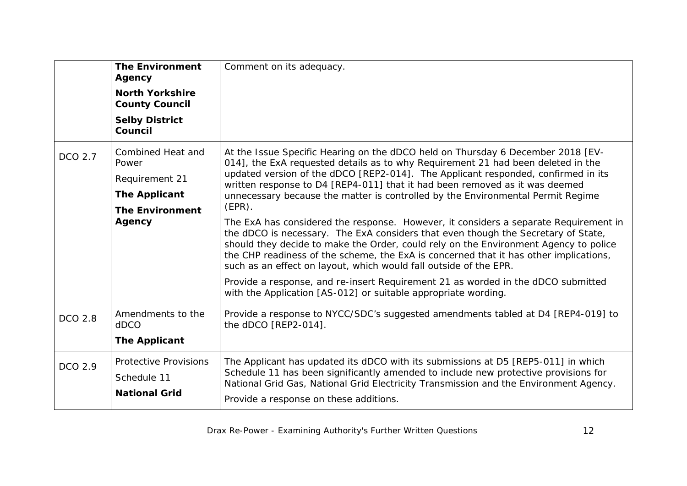|         | <b>The Environment</b><br>Agency<br><b>North Yorkshire</b><br><b>County Council</b><br><b>Selby District</b><br>Council | Comment on its adequacy.                                                                                                                                                                                                                                                                                                                                                                                                                                                                                                                                                                                                                                                                                                                                                                                                                                                                                                                                                                                                         |
|---------|-------------------------------------------------------------------------------------------------------------------------|----------------------------------------------------------------------------------------------------------------------------------------------------------------------------------------------------------------------------------------------------------------------------------------------------------------------------------------------------------------------------------------------------------------------------------------------------------------------------------------------------------------------------------------------------------------------------------------------------------------------------------------------------------------------------------------------------------------------------------------------------------------------------------------------------------------------------------------------------------------------------------------------------------------------------------------------------------------------------------------------------------------------------------|
| DCO 2.7 | Combined Heat and<br>Power<br>Requirement 21<br><b>The Applicant</b><br><b>The Environment</b><br>Agency                | At the Issue Specific Hearing on the dDCO held on Thursday 6 December 2018 [EV-<br>014], the ExA requested details as to why Requirement 21 had been deleted in the<br>updated version of the dDCO [REP2-014]. The Applicant responded, confirmed in its<br>written response to D4 [REP4-011] that it had been removed as it was deemed<br>unnecessary because the matter is controlled by the Environmental Permit Regime<br>$(EPR)$ .<br>The ExA has considered the response. However, it considers a separate Requirement in<br>the dDCO is necessary. The ExA considers that even though the Secretary of State,<br>should they decide to make the Order, could rely on the Environment Agency to police<br>the CHP readiness of the scheme, the ExA is concerned that it has other implications,<br>such as an effect on layout, which would fall outside of the EPR.<br>Provide a response, and re-insert Requirement 21 as worded in the dDCO submitted<br>with the Application [AS-012] or suitable appropriate wording. |
| DCO 2.8 | Amendments to the<br>dDCO<br><b>The Applicant</b>                                                                       | Provide a response to NYCC/SDC's suggested amendments tabled at D4 [REP4-019] to<br>the dDCO [REP2-014].                                                                                                                                                                                                                                                                                                                                                                                                                                                                                                                                                                                                                                                                                                                                                                                                                                                                                                                         |
| DCO 2.9 | <b>Protective Provisions</b><br>Schedule 11<br><b>National Grid</b>                                                     | The Applicant has updated its dDCO with its submissions at D5 [REP5-011] in which<br>Schedule 11 has been significantly amended to include new protective provisions for<br>National Grid Gas, National Grid Electricity Transmission and the Environment Agency.<br>Provide a response on these additions.                                                                                                                                                                                                                                                                                                                                                                                                                                                                                                                                                                                                                                                                                                                      |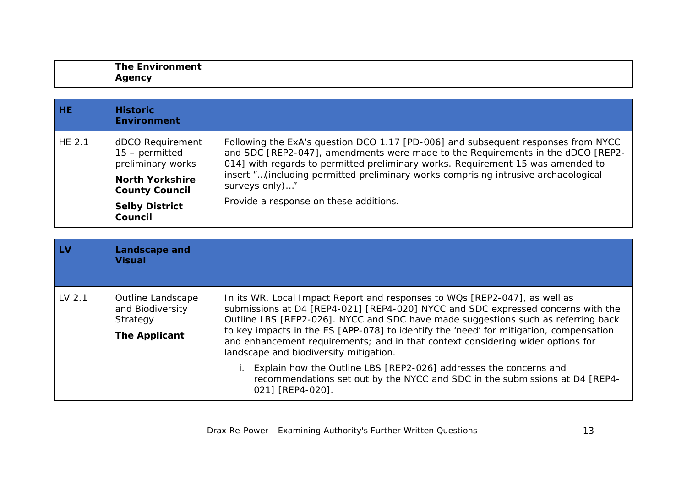| <b>The</b><br>:nvironment<br>ENVIr |
|------------------------------------|
| Agency<br>nv<br>ັ                  |

<span id="page-12-0"></span>

| <b>HE</b> | <b>Historic</b><br><b>Environment</b>                                                                      |                                                                                                                                                                                                                                                                                                                                                                 |
|-----------|------------------------------------------------------------------------------------------------------------|-----------------------------------------------------------------------------------------------------------------------------------------------------------------------------------------------------------------------------------------------------------------------------------------------------------------------------------------------------------------|
| HE 2.1    | dDCO Requirement<br>15 – permitted<br>preliminary works<br><b>North Yorkshire</b><br><b>County Council</b> | Following the ExA's question DCO 1.17 [PD-006] and subsequent responses from NYCC<br>and SDC [REP2-047], amendments were made to the Requirements in the dDCO [REP2-<br>014] with regards to permitted preliminary works. Requirement 15 was amended to<br>insert "(including permitted preliminary works comprising intrusive archaeological<br>surveys only)" |
|           | <b>Selby District</b><br>Council                                                                           | Provide a response on these additions.                                                                                                                                                                                                                                                                                                                          |

<span id="page-12-1"></span>

| <b>LV</b>         | <b>Landscape and</b><br><b>Visual</b>                              |                                                                                                                                                                                                                                                                                                                                                                                                                                                                            |
|-------------------|--------------------------------------------------------------------|----------------------------------------------------------------------------------------------------------------------------------------------------------------------------------------------------------------------------------------------------------------------------------------------------------------------------------------------------------------------------------------------------------------------------------------------------------------------------|
| LV <sub>2.1</sub> | Outline Landscape<br>and Biodiversity<br>Strategy<br>The Applicant | In its WR, Local Impact Report and responses to WQs [REP2-047], as well as<br>submissions at D4 [REP4-021] [REP4-020] NYCC and SDC expressed concerns with the<br>Outline LBS [REP2-026]. NYCC and SDC have made suggestions such as referring back<br>to key impacts in the ES [APP-078] to identify the 'need' for mitigation, compensation<br>and enhancement requirements; and in that context considering wider options for<br>landscape and biodiversity mitigation. |
|                   |                                                                    | Explain how the Outline LBS [REP2-026] addresses the concerns and<br>recommendations set out by the NYCC and SDC in the submissions at D4 [REP4-<br>021] [REP4-020].                                                                                                                                                                                                                                                                                                       |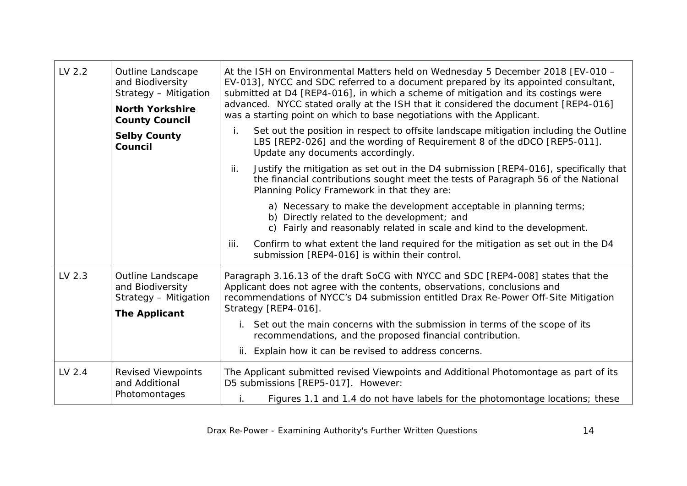| LV 2.2            | Outline Landscape<br>and Biodiversity<br>Strategy - Mitigation<br><b>North Yorkshire</b><br><b>County Council</b><br><b>Selby County</b><br>Council | At the ISH on Environmental Matters held on Wednesday 5 December 2018 [EV-010 -<br>EV-013], NYCC and SDC referred to a document prepared by its appointed consultant,<br>submitted at D4 [REP4-016], in which a scheme of mitigation and its costings were<br>advanced. NYCC stated orally at the ISH that it considered the document [REP4-016]<br>was a starting point on which to base negotiations with the Applicant.<br>Set out the position in respect to offsite landscape mitigation including the Outline<br>i.<br>LBS [REP2-026] and the wording of Requirement 8 of the dDCO [REP5-011].<br>Update any documents accordingly. |  |
|-------------------|-----------------------------------------------------------------------------------------------------------------------------------------------------|-------------------------------------------------------------------------------------------------------------------------------------------------------------------------------------------------------------------------------------------------------------------------------------------------------------------------------------------------------------------------------------------------------------------------------------------------------------------------------------------------------------------------------------------------------------------------------------------------------------------------------------------|--|
|                   |                                                                                                                                                     | ii.<br>Justify the mitigation as set out in the D4 submission [REP4-016], specifically that<br>the financial contributions sought meet the tests of Paragraph 56 of the National<br>Planning Policy Framework in that they are:                                                                                                                                                                                                                                                                                                                                                                                                           |  |
|                   |                                                                                                                                                     | a) Necessary to make the development acceptable in planning terms;<br>b) Directly related to the development; and<br>c) Fairly and reasonably related in scale and kind to the development.                                                                                                                                                                                                                                                                                                                                                                                                                                               |  |
|                   |                                                                                                                                                     | Confirm to what extent the land required for the mitigation as set out in the D4<br>iii.<br>submission [REP4-016] is within their control.                                                                                                                                                                                                                                                                                                                                                                                                                                                                                                |  |
| LV <sub>2.3</sub> | Outline Landscape<br>and Biodiversity<br>Strategy - Mitigation<br><b>The Applicant</b>                                                              | Paragraph 3.16.13 of the draft SoCG with NYCC and SDC [REP4-008] states that the<br>Applicant does not agree with the contents, observations, conclusions and<br>recommendations of NYCC's D4 submission entitled Drax Re-Power Off-Site Mitigation<br>Strategy [REP4-016].                                                                                                                                                                                                                                                                                                                                                               |  |
|                   |                                                                                                                                                     | i. Set out the main concerns with the submission in terms of the scope of its<br>recommendations, and the proposed financial contribution.                                                                                                                                                                                                                                                                                                                                                                                                                                                                                                |  |
|                   |                                                                                                                                                     | ii. Explain how it can be revised to address concerns.                                                                                                                                                                                                                                                                                                                                                                                                                                                                                                                                                                                    |  |
| LV 2.4            | <b>Revised Viewpoints</b><br>and Additional<br>Photomontages                                                                                        | The Applicant submitted revised Viewpoints and Additional Photomontage as part of its<br>D5 submissions [REP5-017]. However:<br>Figures 1.1 and 1.4 do not have labels for the photomontage locations; these                                                                                                                                                                                                                                                                                                                                                                                                                              |  |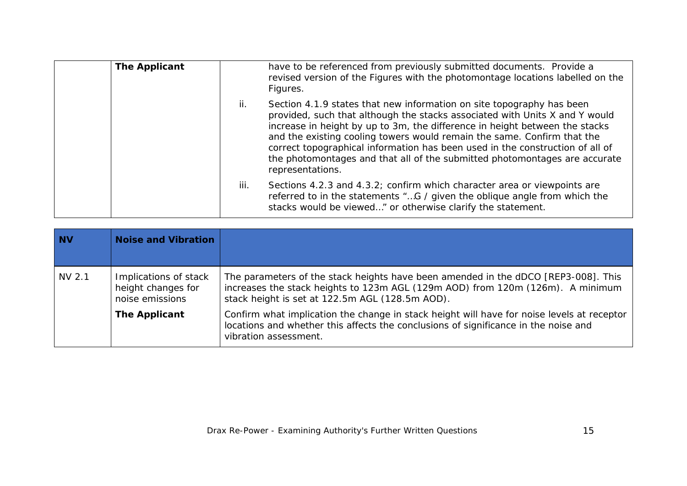| <b>The Applicant</b> |      | have to be referenced from previously submitted documents. Provide a<br>revised version of the Figures with the photomontage locations labelled on the<br>Figures.                                                                                                                                                                                                                                                                                                                                |
|----------------------|------|---------------------------------------------------------------------------------------------------------------------------------------------------------------------------------------------------------------------------------------------------------------------------------------------------------------------------------------------------------------------------------------------------------------------------------------------------------------------------------------------------|
|                      | ii.  | Section 4.1.9 states that new information on site topography has been<br>provided, such that although the stacks associated with Units X and Y would<br>increase in height by up to 3m, the difference in height between the stacks<br>and the existing cooling towers would remain the same. Confirm that the<br>correct topographical information has been used in the construction of all of<br>the photomontages and that all of the submitted photomontages are accurate<br>representations. |
|                      | iii. | Sections 4.2.3 and 4.3.2; confirm which character area or viewpoints are<br>referred to in the statements "G / given the oblique angle from which the<br>stacks would be viewed" or otherwise clarify the statement.                                                                                                                                                                                                                                                                              |

<span id="page-14-0"></span>

| <b>NV</b> | <b>Noise and Vibration</b>                                     |                                                                                                                                                                                                                         |
|-----------|----------------------------------------------------------------|-------------------------------------------------------------------------------------------------------------------------------------------------------------------------------------------------------------------------|
| NV 2.1    | Implications of stack<br>height changes for<br>noise emissions | The parameters of the stack heights have been amended in the dDCO [REP3-008]. This<br>increases the stack heights to 123m AGL (129m AOD) from 120m (126m). A minimum<br>stack height is set at 122.5m AGL (128.5m AOD). |
|           | The Applicant                                                  | Confirm what implication the change in stack height will have for noise levels at receptor<br>locations and whether this affects the conclusions of significance in the noise and<br>vibration assessment.              |